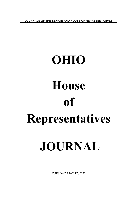**JOURNALS OF THE SENATE AND HOUSE OF REPRESENTATIVES**

# **OHIO House of Representatives JOURNAL**

TUESDAY, MAY 17, 2022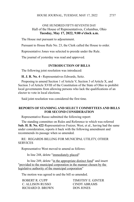#### ONE HUNDRED FIFTY-SEVENTH DAY Hall of the House of Representatives, Columbus, Ohio **Tuesday, May 17, 2022, 9:00 o'clock a.m.**

The House met pursuant to adjournment.

Pursuant to House Rule No. 23, the Clerk called the House to order.

Representative Jones was selected to preside under the Rule.

The journal of yesterday was read and approved.

#### **INTRODUCTION OF BILLS**

The following joint resolution was introduced:

**H. J. R. No. 4 -** Representatives Edwards, Seitz.

Proposing to amend Section 1 of Article V, Section 3 of Article X, and Section 3 of Article XVIII of the Constitution of the State of Ohio to prohibit local governments from allowing persons who lack the qualifications of an elector to vote in local elections.

Said joint resolution was considered the first time.

#### **REPORTS OF STANDING AND SELECT COMMITTEES AND BILLS FOR SECOND CONSIDERATION**

Representative Russo submitted the following report:

The standing committee on Rules and Reference to which was referred **Sub. H. B. No. 422**-Representatives Fraizer, West, et al., having had the same under consideration, reports it back with the following amendment and recommends its passage when so amended.

RE: REGARDS BILLING FOR MUNICIPAL UTILITY, OTHER **SERVICES** 

Representative West moved to amend as follows:

In line 248, delete "immediately placed"

In line 249, delete "in the appropriate distinct fund" and insert "provided to the municipal corporation in the manner chosen by the legislative authority of the municipal corporation"

The motion was agreed to and the bill so amended.

| ROBERT R. CUPP-   | TIMOTHY E. GINTER |
|-------------------|-------------------|
| C. ALLISON RUSSO  | CINDY ABRAMS      |
| RICHARD D. BROWN- | DON JONES         |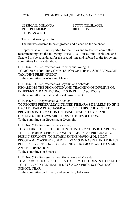JESSICA E. MIRANDA SCOTT OELSLAGER PHIL PLUMMER
BILL SEITZ THOMAS WEST

The report was agreed to.

The bill was ordered to be engrossed and placed on the calendar.

Representative Russo reported for the Rules and Reference committee recommending that the following House Bills, House Joint Resolution, and Senate Bills be considered for the second time and referred to the following committees for consideration:

**H. B. No. 615** - Representatives Roemer and Young, T. TO MODIFY THE THE COMPUTATION OF THE PERSONAL INCOME TAX JOINT FILER CREDIT. To the committee on Ways and Means

**H. B. No. 616** - Representatives Loychik and Schmidt REGARDING THE PROMOTION AND TEACHING OF DIVISIVE OR INHERENTLY RACIST CONCEPTS IN PUBLIC SCHOOLS. To the committee on State and Local Government

**H. B. No. 617** - Representative Koehler TO REQUIRE FEDERALLY LICENSED FIREARMS DEALERS TO GIVE EACH FIREARM PURCHASER A SPECIFIED BROCHURE THAT PROVIDES INFORMATION ON USING DEADLY FORCE AND OUTLINES THE LAWS ABOUT DISPUTE RESOLUTION. To the committee on Government Oversight

**H. B. No. 618** - Representative Sweeney

TO REQUIRE THE DISTRIBUTION OF INFORMATION REGARDING THE U.S. PUBLIC SERVICE LOAN FORGIVENESS PROGRAM TO PUBLIC SERVANTS, TO ESTABLISH THE NAVIGATOR PILOT PROGRAM TO ASSIST PUBLIC SERVANTS IN NAVIGATING THE U.S. PUBLIC SERVICE LOAN FORGIVENESS PROGRAM, AND TO MAKE AN APPROPRIATION.

To the committee on Finance

**H. B. No. 619** - Representatives Blackshear and Miranda TO ALLOW SCHOOL DISTRICTS TO PERMIT STUDENTS TO TAKE UP TO THREE MENTAL HEALTH DAYS AWAY FROM SCHOOL EACH SCHOOL YEAR.

To the committee on Primary and Secondary Education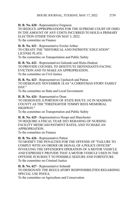**H. B. No. 620** - Representative Ferguson TO REDUCE APPROPRIATIONS FOR THE SUPREME COURT OF OHIO IN THE AMOUNT OF ANY COSTS INCURRED TO HOLD A PRIMARY ELECTION OTHER THAN ON MAY 3, 2022. To the committee on Finance

**H. B. No. 621** - Representative Fowler Arthur TO CREATE THE "HISTORICAL AND PATRIOTIC EDUCATION" LICENSE PLATE. To the committee on Transportation and Public Safety

**H. B. No. 622** - Representatives Galonski and Hicks-Hudson TO PROVIDE COUNSEL TO DESTITUTE DEFENDANTS FACING EVICTION AND TO MAKE AN APPROPRIATION. To the committee on Civil Justice

**H. B. No. 623** - Representatives Upchurch and Patton TO DESIGNATE NOVEMBER 18 AS "A CHRISTMAS STORY FAMILY DAY."

To the committee on State and Local Government

**H. B. No. 624** - Representative Dean TO DESIGNATE A PORTION OF STATE ROUTE 142 IN MADISON COUNTY AS THE "FIREFIGHTER TOMMY REES MEMORIAL HIGHWAY." To the committee on Transportation and Public Safety

**H. B. No. 625** - Representatives Hoops and Manchester TO REQUIRE A FISCAL YEAR 2023 REBASING OF NURSING FACILITY MEDICAID PAYMENT RATES, AND TO MAKE AN APPROPRIATION.

To the committee on Finance

**H. B. No. 626** - Representative Patton

TO MODIFY THE PENALTIES FOR THE OFFENSE OF "FAILURE TO COMPLY WITH AN ORDER OR SIGNAL OF A POLICE OFFICER" INVOLVING THE OFFENDER'S OPERATION OF A MOTOR VEHICLE AND EXPRESSLY PROVIDE THAT A MOTOR VEHICLE USED IN THE OFFENSE IS SUBJECT TO POSSIBLE SEIZURE AND FORFEITURE. To the committee on Criminal Justice

**H. B. No. 627** - Representative Schmidt TO DESIGNATE THE REGULATORY RESPONSIBILITIES REGARDING SPECIAL USE POOLS. To the committee on Agriculture and Conservation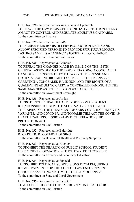**H. B. No. 628** - Representatives Weinstein and Upchurch TO ENACT THE LAW PROPOSED BY INITIATIVE PETITION TITLED AN ACT TO CONTROL AND REGULATE ADULT USE CANNABIS. To the committee on Finance

**H. B. No. 629** - Representative LaRe TO INCREASE MICRODISTILLERY PRODUCTION LIMITS AND ALLOW SPECIFIED PERSONS TO PROVIDE SPIRITUOUS LIQUOR TASTING SAMPLES AT AGENCY STORES FREE OF CHARGE. To the committee on Commerce and Labor

**H. B. No. 630** - Representative Galonski TO REPEAL THE CHANGES MADE BY S.B. 215 OF THE 134TH GENERAL ASSEMBLY TO THE LAWS REGARDING A CONCEALED HANDGUN LICENSEE'S DUTY TO CARRY THE LICENSE AND NOTIFY A LAW ENFORCEMENT OFFICER IF THE LICENSEE IS CARRYING A CONCEALED HANDGUN, AND THE RIGHTS OF A QUALIFYING ADULT TO CARRY A CONCEALED HANDGUN IN THE SAME MANNER AS IF THE PERSON WAS A LICENSEE. To the committee on Government Oversight

**H. B. No. 631** - Representative Jordan

TO PROTECT THE HEALTH CARE PROFESSIONAL-PATIENT RELATIONSHIP, TO PROMOTE ALTERNATIVE DRUGS AND THERAPIES FOR THE TREATMENT OF SARS-COV-2, INCLUDING ITS VARIANTS, AND COVID-19, AND TO NAME THIS ACT THE COVID-19 HEALTH CARE PROFESSIONAL-PATIENT RELATIONSHIP PROTECTION ACT.

To the committee on Civil Justice

**H. B. No. 632** - Representative Baldridge REGARDING RECOVERY HOUSING. To the committee on Behavioral Health and Recovery Supports

**H. B. No. 633** - Representative Koehler TO PROHIBIT THE SHARING OF PUBLIC SCHOOL STUDENT DIRECTORY INFORMATION WITHOUT WRITTEN CONSENT. To the committee on Primary and Secondary Education

**H. B. No. 634** - Representative Sobecki TO PROHIBIT POLITICAL SUBDIVISIONS FROM REQUIRING REIMBURSEMENT FOR THE COST OF LAW ENFORCEMENT OFFICERS' ASSISTING VICTIMS OF CERTAIN OFFENSES. To the committee on State and Local Government

**H. B. No. 635** - Representative Lampton TO ADD ONE JUDGE TO THE FAIRBORN MUNICIPAL COURT. To the committee on Civil Justice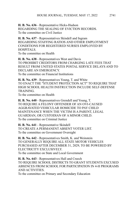**H. B. No. 636** - Representative Hicks-Hudson REGARDING THE SEALING OF EVICTION RECORDS. To the committee on Civil Justice

**H. B. No. 637** - Representatives Skindell and Ingram REGARDING STAFFING RATIOS AND OTHER EMPLOYMENT CONDITIONS FOR REGISTERED NURSES EMPLOYED BY HOSPITALS. To the committee on Health

**H. B. No. 638** - Representatives West and Davis TO PROHIBIT CREDITORS FROM CHARGING LATE FEES THAT RESULT FROM UNITED STATES POSTAL SERVICE DELAYS AND TO DECLARE AN EMERGENCY. To the committee on Financial Institutions

**H. B. No. 639** - Representatives Young, T. and White TO ENACT THE "STUDENT PROTECTION ACT" TO REQUIRE THAT HIGH SCHOOL HEALTH INSTRUCTION INCLUDE SELF-DEFENSE **TRAINING** 

To the committee on Health

**H. B. No. 640** - Representatives Grendell and Young, T. TO REQUIRE A FELONY OFFENDER OF AN OVI-CAUSED AGGRAVATED VEHICULAR HOMICIDE TO PAY CHILD MAINTENANCE WHEN THE VICTIM IS A PARENT, LEGAL GUARDIAN, OR CUSTODIAN OF A MINOR CHILD. To the committee on Criminal Justice

**H. B. No. 641** - Representative Skindell TO CREATE A PERMANENT ABSENT VOTER LIST. To the committee on Government Oversight

**H. B. No. 642** - Representatives Smith, K. and Weinstein TO GENERALLY REQUIRE ALL STATE MOTOR VEHICLES PURCHASED AFTER DECEMBER 31, 2029, TO BE POWERED BY ELECTRICITY EXCLUSIVELY. To the committee on State and Local Government

**H. B. No. 643** - Representatives Hall and Creech TO REQUIRE SCHOOL DISTRICTS TO GRANT STUDENTS EXCUSED ABSENCES FROM SCHOOL FOR PARTICIPATION IN 4-H PROGRAMS AND ACTIVITIES.

To the committee on Primary and Secondary Education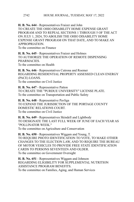**H. B. No. 644** - Representatives Fraizer and John

TO CREATE THE OHIO DISABILITY HOME EXPENSE GRANT PROGRAM AND TO REPEAL SECTIONS 1 THROUGH 5 OF THE ACT ON JULY 1, 2024, TO ABOLISH THE OHIO DISABILITY HOME EXPENSE GRANT PROGRAM ON THAT DATE, AND TO MAKE AN APPROPRIATION.

To the committee on Finance

**H. B. No. 645** - Representatives Fraizer and Holmes TO AUTHORIZE THE OPERATION OF REMOTE DISPENSING **PHARMACIES** To the committee on Health

**H. B. No. 646** - Representatives Cutrona and Roemer REGARDING RESIDENTIAL PROPERTY ASSESSED CLEAN ENERGY (PACE) LOANS. To the committee on Civil Justice

**H. B. No. 647** - Representative Patton TO CREATE THE "PURDUE UNIVERSITY" LICENSE PLATE. To the committee on Transportation and Public Safety

**H. B. No. 648** - Representative Pavliga TO EXPAND THE JURISDICTION OF THE PORTAGE COUNTY DOMESTIC RELATIONS COURT. To the committee on Civil Justice

**H. B. No. 649** - Representatives Skindell and Lightbody TO DESIGNATE THE LAST FULL WEEK OF JUNE OF EACH YEAR AS "POLLINATOR WEEK." To the committee on Agriculture and Conservation

**H. B. No. 650** - Representatives Wiggam and Young, T. TO REQUIRE PHOTO IDENTIFICATION TO VOTE, TO MAKE OTHER CHANGES TO THE ELECTION LAW, AND TO REQUIRE THE BUREAU OF MOTOR VEHICLES TO PROVIDE FREE STATE IDENTIFICATION CARDS TO PERSONS SEVENTEEN AND OLDER. To the committee on Government Oversight

**H. B. No. 651** - Representatives Wiggam and Johnson REGARDING ELIGIBILITY FOR SUPPLEMENTAL NUTRITION ASSISTANCE PROGRAM BENEFITS. To the committee on Families, Aging, and Human Services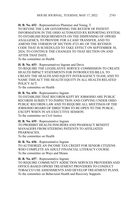**H. B. No. 652** - Representatives Plummer and Young, T. TO REVISE THE LAW GOVERNING THE REVIEW OF PATIENT INFORMATION IN THE OHIO AUTOMATED RX REPORTING SYSTEM, TO ESTABLISH REQUIREMENTS ON THE DISPENSING OF OPIOID ANALGESICS, TO PROVIDE FOR A CASH TRANSFER, AND TO AMEND THE VERSION OF SECTION 4723.481 OF THE REVISED CODE THAT IS SCHEDULED TO TAKE EFFECT ON SEPTEMBER 30, 2024, TO CONTINUE THE CHANGES TO THAT SECTION ON AND AFTER THAT DATE. To the committee on Health

**H. B. No. 653** - Representatives Ingram and Davis TO REQUIRE THE LEGISLATIVE SERVICE COMMISSION TO CREATE HEALTH IMPACT STATEMENTS FOR INTRODUCED BILLS, TO CREATE THE HEALTH AND EQUITY INTERAGENCY TEAM, AND TO NAME THIS ACT THE HEALTH EQUITY IN ALL HEALTH RELATED POLICY ACT.

To the committee on Health

**H. B. No. 654** - Representative Ingram TO ESTABLISH THAT RECORDS KEPT BY JOBSOHIO ARE PUBLIC RECORDS SUBJECT TO INSPECTION AND COPYING UNDER OHIO PUBLIC RECORDS LAW AND TO REQUIRE ALL MEETINGS OF THE JOBSOHIO BOARD OF DIRECTORS TO BE OPEN TO THE PUBLIC, EXCEPT WHEN IN AN EXECUTIVE SESSION. To the committee on Civil Justice

**H. B. No. 655** - Representative Ingram TO PROHIBIT HEALTH INSURERS AND PHARMACY BENEFIT MANAGERS FROM STEERING PATIENTS TO AFFILIATED **PHARMACIES** To the committee on Health

**H. B. No. 656** - Representative Ingram TO AUTHORIZE AN INCOME TAX CREDIT FOR SENIOR CITIZENS WHO COMPLETE AN ADULT FINANCIAL LITERACY COURSE. To the committee on Ways and Means

**H. B. No. 657** - Representative Ingram TO REQUIRE COMMUNITY ADDICTION SERVICES PROVIDERS AND OFFICE-BASED OPIOID TREATMENT PROVIDERS TO CONDUCT TOBACCO USE ASSESSMENTS AND DEVELOP TREATMENT PLANS. To the committee on Behavioral Health and Recovery Supports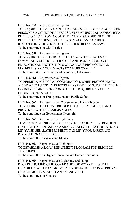**H. B. No. 658** - Representative Ingram

TO REQUIRE THE AWARD OF ATTORNEY'S FEES TO AN AGGRIEVED PERSON IF A COURT OF APPEALS DETERMINES IN AN APPEAL BY A PUBLIC OFFICE FROM A COURT OF CLAIMS ORDER THAT THE PUBLIC OFFICE DENIED THE PERSON ACCESS TO PUBLIC RECORDS IN VIOLATION OF THE PUBLIC RECORDS LAW. To the committee on Civil Justice

**H. B. No. 659** - Representative Ingram

TO REQUIRE DISCLOSURE OF THE FOR-PROFIT STATUS OF COMMUNITY SCHOOL OPERATORS AND POST-SECONDARY EDUCATIONAL INSTITUTIONS ON VARIOUS PROMOTIONAL MATERIALS AND CONTRACTS FOR EMPLOYMENT. To the committee on Primary and Secondary Education

**H. B. No. 660** - Representative Ingram

TO PERMIT A MUNICIPAL CORPORATION, WHEN PROPOSING TO ALTER A STATUTORILY PRESCRIBED SPEED LIMIT, TO UTILIZE THE COUNTY ENGINEER TO CONDUCT THE REQUIRED TRAFFIC ENGINEERING STUDY.

To the committee on Transportation and Public Safety

**H. B. No. 661** - Representatives Crossman and Hicks-Hudson TO REQUIRE THAT GUN TRIGGER LOCKS BE ATTACHED AND PROVIDED WITH FIREARMS SALES. To the committee on Government Oversight

**H. B. No. 662** - Representative Lightbody TO ALLOW A MUNICIPAL CORPORATION OR JOINT RECREATION DISTRICT TO PROPOSE, AS A SINGLE BALLOT QUESTION, A BOND LEVY AND SEPARATE PROPERTY TAX LEVY FOR PARKS AND RECREATIONAL PURPOSES. To the committee on Ways and Means

**H. B. No. 663** - Representative Lightbody TO ESTABLISH A LOAN REPAYMENT PROGRAM FOR ELIGIBLE TEACHERS. To the committee on Higher Education and Career Readiness

**H. B. No. 664** - Representatives Lightbody and Hoops REGARDING MEDICAID COVERAGE FOR WORKERS WITH A DISABILITY AND TO MAKE AN APPROPRIATION UPON APPROVAL OF A MEDICAID STATE PLAN AMENDMENT. To the committee on Finance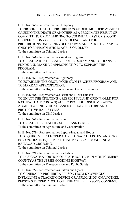**H. B. No. 665** - Representative Humphrey

TO PROVIDE THAT THE PROHIBITION UNDER "MURDER" AGAINST CAUSING THE DEATH OF ANOTHER AS A PROXIMATE RESULT OF COMMITTING OR ATTEMPTING TO COMMIT A FIRST OR SECOND DEGREE FELONY OFFENSE OF VIOLENCE, AND THE PROHIBITIONS UNDER "INVOLUNTARY MANSLAUGHTER," APPLY ONLY TO A PERSON WHO IS AGE 18 OR OLDER. To the committee on Criminal Justice

**H. B. No. 666** - Representatives West and Ingram TO CREATE A RENT REBATE PILOT PROGRAM AND TO TRANSFER FUNDS AND MAKE AN APPROPRIATION TO SUPPORT THE PROGRAM.

To the committee on Finance

**H. B. No. 667** - Representative Lightbody TO ESTABLISH THE GROW YOUR OWN TEACHER PROGRAM AND TO MAKE AN APPROPRIATION. To the committee on Higher Education and Career Readiness

**H. B. No. 668** - Representatives Brent and Hicks-Hudson TO ENACT THE CREATING A RESPECTFUL AND OPEN WORLD FOR NATURAL HAIR (CROWN) ACT TO PROHIBIT DISCRIMINATION AGAINST AN INDIVIDUAL BASED ON HAIR TEXTURE AND PROTECTIVE HAIR STYLES. To the committee on Civil Justice

**H. B. No. 669** - Representative Brent TO CREATE THE HEALTHY SOILS TASK FORCE. To the committee on Agriculture and Conservation

**H. B. No. 670** - Representatives Lepore-Hagan and Hoops TO REQUIRE VEHICLE OPERATORS TO WATCH, LISTEN, AND STOP FOR ON-TRACK EQUIPMENT THAT MAY BE APPROACHING A RAILROAD CROSSING. To the committee on Criminal Justice

**H. B. No. 671** - Representative Blackshear TO DESIGNATE A PORTION OF STATE ROUTE 35 IN MONTGOMERY COUNTY AS THE JESSIE GOODING HIGHWAY. To the committee on Transportation and Public Safety

**H. B. No. 672** - Representatives Patton and Sykes TO GENERALLY PROHIBIT A PERSON FROM KNOWINGLY INSTALLING A TRACKING DEVICE OR APPLICATION ON ANOTHER PERSON'S PROPERTY WITHOUT THE OTHER PERSON'S CONSENT. To the committee on Criminal Justice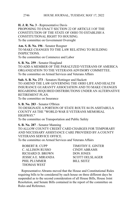**H. J. R. No. 3** - Representative Davis PROPOSING TO ENACT SECTION 22 OF ARTICLE I OF THE CONSTITUTION OF THE STATE OF OHIO TO ESTABLISH A CONSTITUTIONAL RIGHT TO HOUSING. To the committee on Government Oversight

**Am. S. B. No. 196** - Senator Roegner TO MAKE CHANGES TO THE LAW RELATING TO BUILDING **INSPECTIONS** To the committee on Commerce and Labor

**S. B. No. 259** - Senator Hoagland TO ADD A MEMBER OF THE PARALYZED VETERANS OF AMERICA ORGANIZATION TO THE VETERANS ADVISORY COMMITTEE. To the committee on Armed Services and Veterans Affairs

**Sub. S. B. No. 273** - Senators Hottinger and Hackett TO AMEND THE LAW GOVERNING THE OHIO LIFE AND HEALTH INSURANCE GUARANTY ASSOCIATION AND TO MAKE CHANGES REGARDING REQUIRED DISTRIBUTIONS UNDER AN ALTERNATIVE RETIREMENT PLAN. To the committee on Insurance

**S. B. No. 283** - Senator O'Brien TO DESIGNATE A PORTION OF STATE ROUTE 84 IN ASHTABULA COUNTY AS THE "WORLD WAR II VETERANS MEMORIAL HIGHWAY." To the committee on Transportation and Public Safety

**S. B. No. 287** - Senator Manning TO ALLOW COUNTY CREDIT CARD CHARGES FOR TEMPORARY AND NECESSARY ASSISTANCE CARE PROVIDED BY A COUNTY VETERANS SERVICE OFFICE.

To the committee on Armed Services and Veterans Affairs

ROBERT R. CUPP TIMOTHY E. GINTER C. ALLISON RUSSO CINDY ABRAMS RICHARD D. BROWN DON JONES JESSICA E. MIRANDA SCOTT OELSLAGER PHIL PLUMMER
BILL SEITZ THOMAS WEST

Representative Abrams moved that the House and Constitutional Rules requiring bills to be considered by each house on three different days be suspended as to the second consideration of all House Bills, House Joint Resolution, and Senate Bills contained in the report of the committee on Rules and Reference.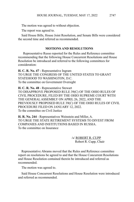The motion was agreed to without objection.

The report was agreed to.

Said House Bills, House Joint Resolution, and Senate Bills were considered the second time and referred as recommended.

#### **MOTIONS AND RESOLUTIONS**

 Representative Russo reported for the Rules and Reference committee recommending that the following House Concurrent Resolutions and House Resolution be introduced and referred to the following committees for consideration:

**H. C. R. No. 47** - Representative Ingram TO URGE THE CONGRESS OF THE UNITED STATES TO GRANT STATEHOOD TO WASHINGTON, D.C. To the committee on Government Oversight

**H. C. R. No. 48** - Representative Stewart TO DISAPPROVE PROPOSED RULE 39(C) OF THE OHIO RULES OF CIVIL PROCEDURE, FILED BY THE OHIO SUPREME COURT WITH THE GENERAL ASSEMBLY ON APRIL 26, 2022, AND THE PREVIOUSLY PROPOSED RULE 39(C) OF THE OHIO RULES OF CIVIL PROCEDURE FILED ON JANUARY 12, 2022. To the committee on Civil Justice

**H. R. No. 244** - Representatives Weinstein and Miller, A. TO URGE THE STATE RETIREMENT SYSTEMS TO DIVEST FROM COMPANIES AND INSTITUTIONS BASED IN RUSSIA. To the committee on Insurance

> /s/ ROBERT R. CUPP Robert R. Cupp, Chair

Representative Abrams moved that the Rules and Reference committee report on resolutions be agreed to and that the House Concurrent Resolutions and House Resolution contained therein be introduced and referred as recommended.

The motion was agreed to.

Said House Concurrent Resolutions and House Resolution were introduced and referred as recommended.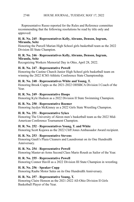#### HOUSE JOURNAL, TUESDAY, MAY 17, 2022 2748

Representative Russo reported for the Rules and Reference committee recommending that the following resolutions be read by title only and approved:

#### **H. R. No. 245** - **Representatives Kelly, Abrams, Denson, Ingram, Miranda, Seitz**

Honoring the Purcell Marian High School girls basketball team as the 2022 Division III State Champion.

#### **H. R. No. 246** - **Representatives Kelly, Abrams, Denson, Ingram, Miranda, Seitz**

Recognizing Workers Memorial Day in Ohio, April 28, 2022.

#### **H. R. No. 247** - **Representative Powell**

Honoring the Castine Church Junior High School girls basketball team on winning the 2022 ICSO Athletic Conference State Championship.

#### **H. R. No. 248** - **Representatives White and Young, T.**

Honoring Brook Cupps as the 2021-2022 OHSBCA Division I Coach of the Year.

#### **H. R. No. 249** - **Representative Hoops**

Honoring Kyle Hudson as a 2022 Division II State Swimming Champion.

# **H. R. No. 250** - **Representative Roemer**

Honoring Jaydyn McKinney as a 2022 Girls State Wrestling Champion.

# **H. R. No. 251** - **Representative Sykes**

Honoring The University of Akron men's basketball team as the 2022 Mid-American Conference Tournament Champion.

# **H. R. No. 252** - **Representatives Young, T. and White**

Honoring Scott Kujawa as the 2022 Cliff Jones Ambassador Award recipient.

# **H. R. No. 253** - **Representative Stevens**

Honoring Gault's Plaza Cleaners and Laundromat on its One Hundredth Anniversary.

# **H. R. No. 254** - **Representative Powell**

Honoring Master-at-Arms Second Class Mario Roush as Sailor of the Year.

# **H. R. No. 255** - **Representative Powell**

Honoring Connor Havill as a 2022 Division III State Champion in wrestling.

# **H. R. No. 256** - **Speaker Cupp**

Honoring Raabe Motor Sales on its One Hundredth Anniversary.

# **H. R. No. 257** - **Representative Young, T.**

Honoring Claire Henson as the 2021-2022 All-Ohio Division II Girls Basketball Player of the Year.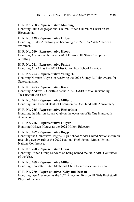# **H. R. No. 258** - **Representative Manning**

Honoring First Congregational Church United Church of Christ on its Bicentennial.

#### **H. R. No. 259** - **Representative Hillyer**

Honoring Hunter Armstrong on becoming a 2022 NCAA All-American swimmer.

#### **H. R. No. 260** - **Representative Hoops**

Honoring Austin Kohlhofer as a 2022 Division III State Champion in wrestling.

#### **H. R. No. 261** - **Representative Patton**

Honoring Alia Ali as the 2022 Miss Ohio High School America.

# **H. R. No. 262** - **Representative Young, T.**

Honoring Norman Mayne on receiving the 2022 Sidney R. Rabb Award for Statesmanship.

#### **H. R. No. 263** - **Representative Russo**

Honoring Andrew L. Geistfeld as the 2022 OASBO Ohio Outstanding Treasurer of the Year.

#### **H. R. No. 264** - **Representative Miller, J.**

Honoring First Federal Bank of Lorain on its One Hundredth Anniversary.

# **H. R. No. 265** - **Representative Richardson**

Honoring the Marion Rotary Club on the occasion of its One Hundredth Anniversary.

# **H. R. No. 266** - **Representative Hillyer**

Honoring Kristen Maurer as the 2022 Milken Educator.

# **H. R. No. 267** - **Representative Boggs**

Honoring the Grandview Heights High School Model United Nations team on receiving two awards at the 2022 National High School Model United Nations Conference.

# **H. R. No. 268** - **Representative Gross**

Honoring United Group Services on being named the 2022 ABC Contractor of the Year.

# **H. R. No. 269** - **Representative Miller, J.**

Honoring Henrietta United Methodist Church on its Sesquicentennial.

#### **H. R. No. 270** - **Representatives Kelly and Denson**

Honoring Dee Alexander as the 2022 All-Ohio Division III Girls Basketball Player of the Year.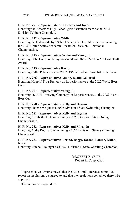# **H. R. No. 271** - **Representatives Edwards and Jones**

Honoring the Waterford High School girls basketball team as the 2022 Division IV State Champion.

# **H. R. No. 272** - **Representative White**

Honoring the Oakwood High School Academic Decathlon team on winning the 2022 United States Academic Decathlon Division III National Championship.

# **H. R. No. 273** - **Representatives White and Young, T.**

Honoring Gabe Cupps on being presented with the 2022 Ohio Mr. Basketball Award.

# **H. R. No. 275** - **Representative Russo**

Honoring Callia Peterson as the 2022 OSMA Student Journalist of the Year.

# **H. R. No. 276** - **Representatives Young, B. and Galonski**

Honoring Hoppin' Frog Brewery on its performance at the 2022 World Beer Cup.

# **H. R. No. 277** - **Representative Young, B.**

Honoring the HiHo Brewing Company on its performance at the 2022 World Beer Cup.

# **H. R. No. 278** - **Representatives Kelly and Denson**

Honoring Phoebe Wright as a 2022 Division I State Swimming Champion.

# **H. R. No. 281** - **Representatives Kelly and Ingram**

Honoring Elizabeth Noble on winning a 2022 Division I State Diving Championship.

# **H. R. No. 282** - **Representatives Kelly and Miranda**

Honoring Addie Robillard on winning a 2022 Division I State Swimming Championship.

#### **H. R. No. 283** - **Representatives Leland, Boggs, Jordan, Lanese, Liston, Russo**

Honoring Mitchell Younger as a 2022 Division II State Wrestling Champion.

/s/ROBERT R. CUPP Robert R. Cupp, Chair

Representative Abrams moved that the Rules and Reference committee report on resolutions be agreed to and that the resolutions contained therein be approved.

The motion was agreed to.